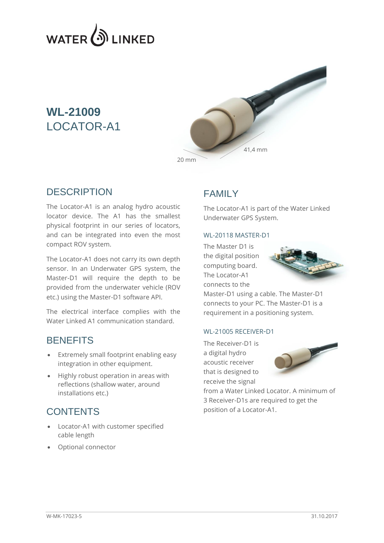

# **WL-21009** LOCATOR-A1



#### **DESCRIPTION**

The Locator-A1 is an analog hydro acoustic locator device. The A1 has the smallest physical footprint in our series of locators, and can be integrated into even the most compact ROV system.

The Locator-A1 does not carry its own depth sensor. In an Underwater GPS system, the Master-D1 will require the depth to be provided from the underwater vehicle (ROV etc.) using the Master-D1 software API.

The electrical interface complies with the Water Linked A1 communication standard.

#### **BENEFITS**

- Extremely small footprint enabling easy integration in other equipment.
- Highly robust operation in areas with reflections (shallow water, around installations etc.)

## **CONTENTS**

- Locator-A1 with customer specified cable length
- Optional connector

## FAMILY

The Locator-A1 is part of the Water Linked Underwater GPS System.

#### WL-20118 MASTER-D1

The Master D1 is the digital position computing board. The Locator-A1 connects to the



Master-D1 using a cable. The Master-D1 connects to your PC. The Master-D1 is a requirement in a positioning system.

#### WL-21005 RECEIVER-D1

The Receiver-D1 is a digital hydro acoustic receiver that is designed to receive the signal



from a Water Linked Locator. A minimum of 3 Receiver-D1s are required to get the position of a Locator-A1.